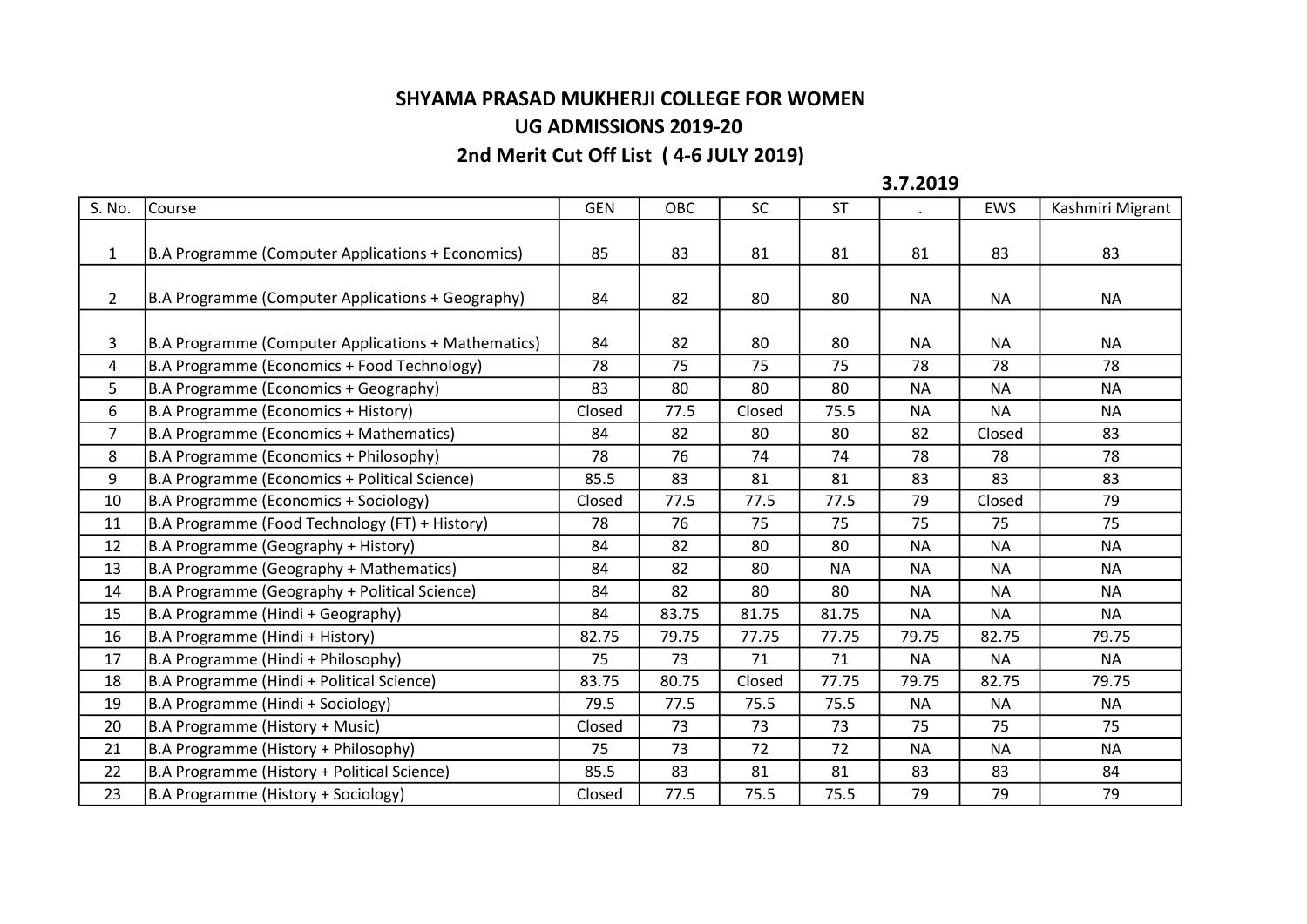## SHYAMA PRASAD MUKHERJI COLLEGE FOR WOMEN UG ADMISSIONS 2019-20

## 2nd Merit Cut Off List ( 4-6 JULY 2019)

3.7.2019

| S. No.         | Course                                              | <b>GEN</b> | OBC   | <b>SC</b> | <b>ST</b> |           | EWS       | Kashmiri Migrant |
|----------------|-----------------------------------------------------|------------|-------|-----------|-----------|-----------|-----------|------------------|
|                |                                                     |            |       |           |           |           |           |                  |
| $\mathbf{1}$   | B.A Programme (Computer Applications + Economics)   | 85         | 83    | 81        | 81        | 81        | 83        | 83               |
|                |                                                     |            |       |           |           |           |           |                  |
| $\overline{2}$ | B.A Programme (Computer Applications + Geography)   | 84         | 82    | 80        | 80        | <b>NA</b> | <b>NA</b> | <b>NA</b>        |
|                |                                                     |            |       |           |           |           |           |                  |
| 3              | B.A Programme (Computer Applications + Mathematics) | 84         | 82    | 80        | 80        | <b>NA</b> | <b>NA</b> | <b>NA</b>        |
| $\overline{4}$ | B.A Programme (Economics + Food Technology)         | 78         | 75    | 75        | 75        | 78        | 78        | 78               |
| 5              | B.A Programme (Economics + Geography)               | 83         | 80    | 80        | 80        | <b>NA</b> | <b>NA</b> | <b>NA</b>        |
| 6              | B.A Programme (Economics + History)                 | Closed     | 77.5  | Closed    | 75.5      | <b>NA</b> | <b>NA</b> | <b>NA</b>        |
| $\overline{7}$ | B.A Programme (Economics + Mathematics)             | 84         | 82    | 80        | 80        | 82        | Closed    | 83               |
| 8              | B.A Programme (Economics + Philosophy)              | 78         | 76    | 74        | 74        | 78        | 78        | 78               |
| 9              | B.A Programme (Economics + Political Science)       | 85.5       | 83    | 81        | 81        | 83        | 83        | 83               |
| 10             | B.A Programme (Economics + Sociology)               | Closed     | 77.5  | 77.5      | 77.5      | 79        | Closed    | 79               |
| 11             | B.A Programme (Food Technology (FT) + History)      | 78         | 76    | 75        | 75        | 75        | 75        | 75               |
| 12             | B.A Programme (Geography + History)                 | 84         | 82    | 80        | 80        | <b>NA</b> | <b>NA</b> | <b>NA</b>        |
| 13             | B.A Programme (Geography + Mathematics)             | 84         | 82    | 80        | <b>NA</b> | <b>NA</b> | <b>NA</b> | <b>NA</b>        |
| 14             | B.A Programme (Geography + Political Science)       | 84         | 82    | 80        | 80        | <b>NA</b> | <b>NA</b> | <b>NA</b>        |
| 15             | B.A Programme (Hindi + Geography)                   | 84         | 83.75 | 81.75     | 81.75     | <b>NA</b> | <b>NA</b> | <b>NA</b>        |
| 16             | B.A Programme (Hindi + History)                     | 82.75      | 79.75 | 77.75     | 77.75     | 79.75     | 82.75     | 79.75            |
| 17             | B.A Programme (Hindi + Philosophy)                  | 75         | 73    | 71        | 71        | <b>NA</b> | <b>NA</b> | NA.              |
| 18             | B.A Programme (Hindi + Political Science)           | 83.75      | 80.75 | Closed    | 77.75     | 79.75     | 82.75     | 79.75            |
| 19             | B.A Programme (Hindi + Sociology)                   | 79.5       | 77.5  | 75.5      | 75.5      | <b>NA</b> | <b>NA</b> | <b>NA</b>        |
| 20             | B.A Programme (History + Music)                     | Closed     | 73    | 73        | 73        | 75        | 75        | 75               |
| 21             | B.A Programme (History + Philosophy)                | 75         | 73    | 72        | 72        | <b>NA</b> | <b>NA</b> | <b>NA</b>        |
| 22             | B.A Programme (History + Political Science)         | 85.5       | 83    | 81        | 81        | 83        | 83        | 84               |
| 23             | B.A Programme (History + Sociology)                 | Closed     | 77.5  | 75.5      | 75.5      | 79        | 79        | 79               |